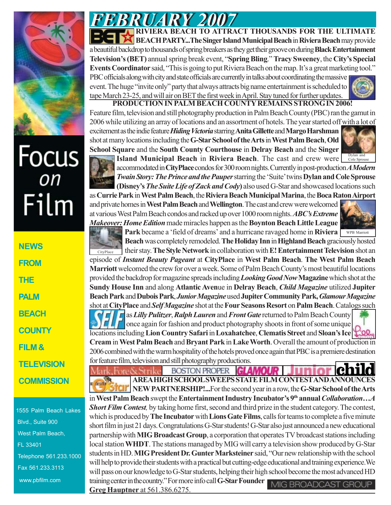

## Focus<br><sub>on</sub> Film

**NEWS FROM THE PALM BEACH COUNTY FILM & TELEVISION COMMISSION**

1555 Palm Beach Lakes Blvd., Suite 900 West Palm Beach, FL 33401 Telephone 561.233.1000 Fax 561.233.3113 www.pbfilm.com

*FEBRUARY 2007 FEBRUARY 2007* **RIVIERA BEACH TO ATTRACT THOUSANDS FOR THE ULTIMATE BEACH PARTY...The Singer Island Municipal Beach** in **Riviera Beach** may provide a beautiful backdrop to thousands of spring breakers as they get their groove on during **Black Entertainment Television's (BET)** annual spring break event, "**Spring Bling**." **Tracy Sweeney**, the **City's Special Events Coordinator** said, "This is going to put Riviera Beach on the map. It's a great marketing tool." PBC officials along with city and state officials are currently in talks about coordinating the massive event. The huge "invite only" party that always attracts big name entertainment is scheduled to

tape March 23-25, and will air on BET the first week in April. Stay tuned for further updates.

**PRODUCTION IN PALM BEACH COUNTY REMAINS STRONG IN 2006!** Feature film, television and still photography production in Palm Beach County (PBC) ran the gamut in 2006 while utilizing an array of locations and an assortment of hotels. The year started off with a lot of excitement as the indie feature *Hiding Victoria* starring **Anita Gillette** and **Margo Harshman** shot at many locations including the **G-Star School of the Arts** in **West Palm Beach**, **Old School Square** and the **South County Courthouse** in **Delray Beach** and the **Singer**



**Island Municipal Beach in Riviera Beach**. The cast and crew were **Dylan and** accommodated in **CityPlace** condos for 300 room nights. Currently in post-production *A Modern Twain Story: The Prince and the Pauper* starring the 'Suite' twins **Dylan and Cole Sprouse (Disney's** *The Suite Life of Zack and Cody***)** also used G-Star and showcased locations such

as **Currie Park** in **West Palm Beach**, the **Riviera Beach Municipal Marina**, the **Boca Raton Airport** and private homes in **West Palm Beach** and **Wellington**. The cast and crew were welcomed at various West Palm Beach condos and racked up over 1000 room nights. *ABC's Extreme Makeover: Home Edition* made miracles happen as the **Boynton Beach Little League**

Park became a 'field of dreams' and a hurricane ravaged home in Riviera WPB Marriott

**Beach** was completely remodeled. **The Holiday Inn** in **Highland Beach** graciously hosted their stay. **The Style Network** in collaboration with **E! Entertainment Television** shot an episode of *Instant Beauty Pageant* at **CityPlace** in **West Palm Beach**. **The West Palm Beach Marriott** welcomed the crew for over a week. Some of Palm Beach County's most beautiful locations provided the backdrop for magazine spreads including *Looking Good Now* **Magazine** which shot at the **Sundy House Inn** and along **Atlantic Aven**ue in **Delray Beach**, *Child Magazine* utilized **Jupiter Beach Park** and **Dubois Park**, *Junior Magazine* used **Jupiter Community Park,** *Glamour Magazine* shot at **CityPlace** and *Self Magazine* shot at the **Four Seasons Resort** on **Palm Beach**. Catalogs such CityPlace

as *Lilly Pulitzer*, *Ralph Lauren* and *Front Gate* returned to Palm Beach County once again for fashion and product photography shoots in front of some unique locations including **Lion Country Safari** in **Loxahatchee**, **Clematis Street** and **Sloan's Ice Cream** in **West Palm Beach** and **Bryant Park** in **Lake Worth**. Overall the amount of production in 2006 combined with the warm hospitality of the hotels proved once again that PBC is a premiere destination for feature film, television and still photography productions.

**BOSTON PROPER** Fore & Strike GLAMOUR **AREA HIGH SCHOOL SWEEPS STATE FILM CONTEST AND ANNOUNCES NEW PARTNERSHIP!...**For the second year in a row, the **G-Star School of the Arts** in West Palm Beach swept the Entertainment Industry Incubator's 9<sup>th</sup> annual *Collaboration*...A *Short Film Contest,* by taking home first, second and third prize in the student category. The contest, which is produced by **The Incubator** with **Lions Gate Films**, calls for teams to complete a five minute short film in just 21 days. Congratulations G-Star students! G-Star also just announced a new educational partnership with **MIG Broadcast Group**, a corporation that operates TV broadcast stations including local station **WHDT**. The stations managed by MIG will carry a television show produced by G-Star students in HD. **MIG President Dr. Gunter Marksteiner** said, "Our new relationship with the school will help to provide their students with a practical but cutting-edge educational and training experience.We will pass on our knowledge to G-Star students, helping their high school become the most advanced HD training center in the country." For more info call **G-Star Founder** MIG BROADCAST GROUP **Greg Hauptner** at 561.386.6275.